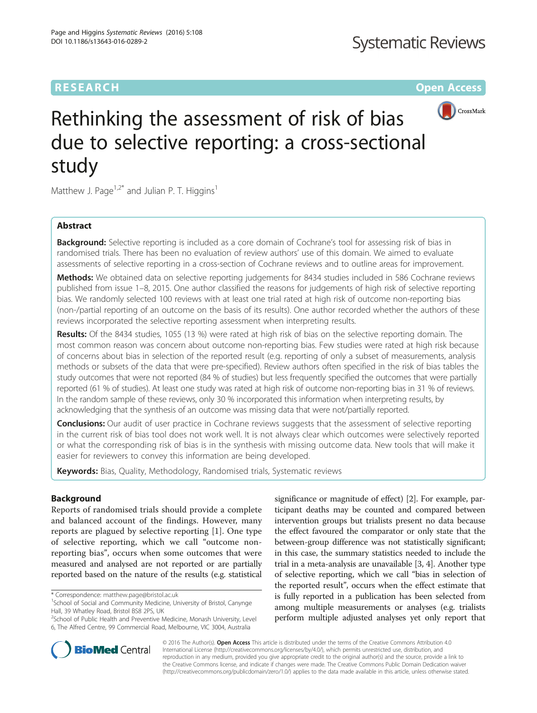## **RESEARCH CHE Open Access**



# Rethinking the assessment of risk of bias due to selective reporting: a cross-sectional study

Matthew J. Page<sup>1,2\*</sup> and Julian P. T. Higgins<sup>1</sup>

## Abstract

**Background:** Selective reporting is included as a core domain of Cochrane's tool for assessing risk of bias in randomised trials. There has been no evaluation of review authors' use of this domain. We aimed to evaluate assessments of selective reporting in a cross-section of Cochrane reviews and to outline areas for improvement.

Methods: We obtained data on selective reporting judgements for 8434 studies included in 586 Cochrane reviews published from issue 1–8, 2015. One author classified the reasons for judgements of high risk of selective reporting bias. We randomly selected 100 reviews with at least one trial rated at high risk of outcome non-reporting bias (non-/partial reporting of an outcome on the basis of its results). One author recorded whether the authors of these reviews incorporated the selective reporting assessment when interpreting results.

Results: Of the 8434 studies, 1055 (13 %) were rated at high risk of bias on the selective reporting domain. The most common reason was concern about outcome non-reporting bias. Few studies were rated at high risk because of concerns about bias in selection of the reported result (e.g. reporting of only a subset of measurements, analysis methods or subsets of the data that were pre-specified). Review authors often specified in the risk of bias tables the study outcomes that were not reported (84 % of studies) but less frequently specified the outcomes that were partially reported (61 % of studies). At least one study was rated at high risk of outcome non-reporting bias in 31 % of reviews. In the random sample of these reviews, only 30 % incorporated this information when interpreting results, by acknowledging that the synthesis of an outcome was missing data that were not/partially reported.

**Conclusions:** Our audit of user practice in Cochrane reviews suggests that the assessment of selective reporting in the current risk of bias tool does not work well. It is not always clear which outcomes were selectively reported or what the corresponding risk of bias is in the synthesis with missing outcome data. New tools that will make it easier for reviewers to convey this information are being developed.

Keywords: Bias, Quality, Methodology, Randomised trials, Systematic reviews

## Background

Reports of randomised trials should provide a complete and balanced account of the findings. However, many reports are plagued by selective reporting [\[1](#page-6-0)]. One type of selective reporting, which we call "outcome nonreporting bias", occurs when some outcomes that were measured and analysed are not reported or are partially reported based on the nature of the results (e.g. statistical significance or magnitude of effect) [[2\]](#page-6-0). For example, participant deaths may be counted and compared between intervention groups but trialists present no data because the effect favoured the comparator or only state that the between-group difference was not statistically significant; in this case, the summary statistics needed to include the trial in a meta-analysis are unavailable [\[3, 4\]](#page-6-0). Another type of selective reporting, which we call "bias in selection of the reported result", occurs when the effect estimate that is fully reported in a publication has been selected from among multiple measurements or analyses (e.g. trialists perform multiple adjusted analyses yet only report that



© 2016 The Author(s). Open Access This article is distributed under the terms of the Creative Commons Attribution 4.0 International License [\(http://creativecommons.org/licenses/by/4.0/](http://creativecommons.org/licenses/by/4.0/)), which permits unrestricted use, distribution, and reproduction in any medium, provided you give appropriate credit to the original author(s) and the source, provide a link to the Creative Commons license, and indicate if changes were made. The Creative Commons Public Domain Dedication waiver [\(http://creativecommons.org/publicdomain/zero/1.0/](http://creativecommons.org/publicdomain/zero/1.0/)) applies to the data made available in this article, unless otherwise stated.

<sup>\*</sup> Correspondence: [matthew.page@bristol.ac.uk](mailto:matthew.page@bristol.ac.uk) <sup>1</sup>

 $1$ School of Social and Community Medicine, University of Bristol, Canynge Hall, 39 Whatley Road, Bristol BS8 2PS, UK

<sup>&</sup>lt;sup>2</sup>School of Public Health and Preventive Medicine, Monash University, Level 6, The Alfred Centre, 99 Commercial Road, Melbourne, VIC 3004, Australia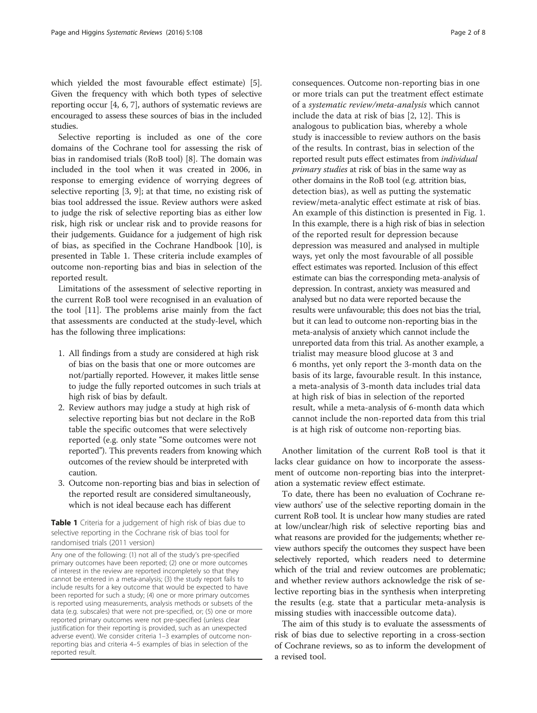<span id="page-1-0"></span>which yielded the most favourable effect estimate) [[5](#page-6-0)]. Given the frequency with which both types of selective reporting occur [\[4](#page-6-0), [6, 7\]](#page-6-0), authors of systematic reviews are encouraged to assess these sources of bias in the included studies.

Selective reporting is included as one of the core domains of the Cochrane tool for assessing the risk of bias in randomised trials (RoB tool) [\[8](#page-6-0)]. The domain was included in the tool when it was created in 2006, in response to emerging evidence of worrying degrees of selective reporting [[3](#page-6-0), [9\]](#page-6-0); at that time, no existing risk of bias tool addressed the issue. Review authors were asked to judge the risk of selective reporting bias as either low risk, high risk or unclear risk and to provide reasons for their judgements. Guidance for a judgement of high risk of bias, as specified in the Cochrane Handbook [\[10\]](#page-6-0), is presented in Table 1. These criteria include examples of outcome non-reporting bias and bias in selection of the reported result.

Limitations of the assessment of selective reporting in the current RoB tool were recognised in an evaluation of the tool [\[11](#page-6-0)]. The problems arise mainly from the fact that assessments are conducted at the study-level, which has the following three implications:

- 1. All findings from a study are considered at high risk of bias on the basis that one or more outcomes are not/partially reported. However, it makes little sense to judge the fully reported outcomes in such trials at high risk of bias by default.
- 2. Review authors may judge a study at high risk of selective reporting bias but not declare in the RoB table the specific outcomes that were selectively reported (e.g. only state "Some outcomes were not reported"). This prevents readers from knowing which outcomes of the review should be interpreted with caution.
- 3. Outcome non-reporting bias and bias in selection of the reported result are considered simultaneously, which is not ideal because each has different

Table 1 Criteria for a judgement of high risk of bias due to selective reporting in the Cochrane risk of bias tool for randomised trials (2011 version)

Any one of the following: (1) not all of the study's pre-specified primary outcomes have been reported; (2) one or more outcomes of interest in the review are reported incompletely so that they cannot be entered in a meta-analysis; (3) the study report fails to include results for a key outcome that would be expected to have been reported for such a study; (4) one or more primary outcomes is reported using measurements, analysis methods or subsets of the data (e.g. subscales) that were not pre-specified, or; (5) one or more reported primary outcomes were not pre-specified (unless clear justification for their reporting is provided, such as an unexpected adverse event). We consider criteria 1–3 examples of outcome nonreporting bias and criteria 4–5 examples of bias in selection of the reported result.

consequences. Outcome non-reporting bias in one or more trials can put the treatment effect estimate of a systematic review/meta-analysis which cannot include the data at risk of bias [[2,](#page-6-0) [12\]](#page-6-0). This is analogous to publication bias, whereby a whole study is inaccessible to review authors on the basis of the results. In contrast, bias in selection of the reported result puts effect estimates from individual primary studies at risk of bias in the same way as other domains in the RoB tool (e.g. attrition bias, detection bias), as well as putting the systematic review/meta-analytic effect estimate at risk of bias. An example of this distinction is presented in Fig. [1](#page-2-0). In this example, there is a high risk of bias in selection of the reported result for depression because depression was measured and analysed in multiple ways, yet only the most favourable of all possible effect estimates was reported. Inclusion of this effect estimate can bias the corresponding meta-analysis of depression. In contrast, anxiety was measured and analysed but no data were reported because the results were unfavourable; this does not bias the trial, but it can lead to outcome non-reporting bias in the meta-analysis of anxiety which cannot include the unreported data from this trial. As another example, a trialist may measure blood glucose at 3 and 6 months, yet only report the 3-month data on the basis of its large, favourable result. In this instance, a meta-analysis of 3-month data includes trial data at high risk of bias in selection of the reported result, while a meta-analysis of 6-month data which cannot include the non-reported data from this trial is at high risk of outcome non-reporting bias.

Another limitation of the current RoB tool is that it lacks clear guidance on how to incorporate the assessment of outcome non-reporting bias into the interpretation a systematic review effect estimate.

To date, there has been no evaluation of Cochrane review authors' use of the selective reporting domain in the current RoB tool. It is unclear how many studies are rated at low/unclear/high risk of selective reporting bias and what reasons are provided for the judgements; whether review authors specify the outcomes they suspect have been selectively reported, which readers need to determine which of the trial and review outcomes are problematic; and whether review authors acknowledge the risk of selective reporting bias in the synthesis when interpreting the results (e.g. state that a particular meta-analysis is missing studies with inaccessible outcome data).

The aim of this study is to evaluate the assessments of risk of bias due to selective reporting in a cross-section of Cochrane reviews, so as to inform the development of a revised tool.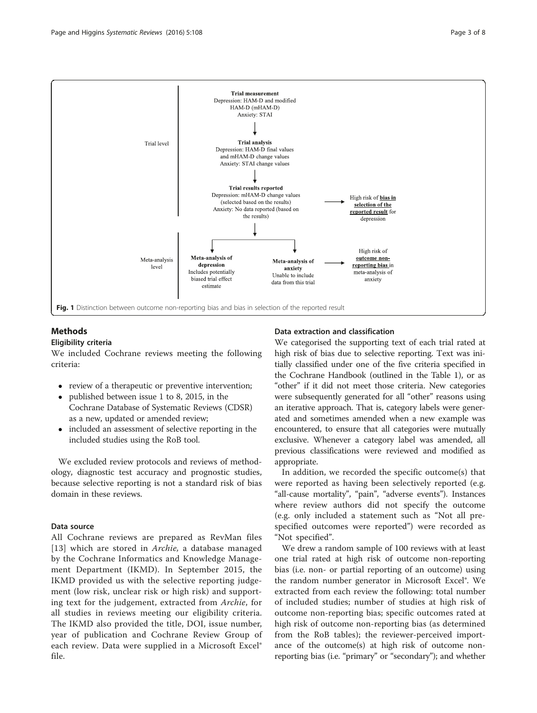<span id="page-2-0"></span>

## Methods

### Eligibility criteria

We included Cochrane reviews meeting the following criteria:

- review of a therapeutic or preventive intervention;
- published between issue 1 to 8, 2015, in the Cochrane Database of Systematic Reviews (CDSR) as a new, updated or amended review;
- included an assessment of selective reporting in the included studies using the RoB tool.

We excluded review protocols and reviews of methodology, diagnostic test accuracy and prognostic studies, because selective reporting is not a standard risk of bias domain in these reviews.

## Data source

All Cochrane reviews are prepared as RevMan files [[13](#page-6-0)] which are stored in *Archie*, a database managed by the Cochrane Informatics and Knowledge Management Department (IKMD). In September 2015, the IKMD provided us with the selective reporting judgement (low risk, unclear risk or high risk) and supporting text for the judgement, extracted from Archie, for all studies in reviews meeting our eligibility criteria. The IKMD also provided the title, DOI, issue number, year of publication and Cochrane Review Group of each review. Data were supplied in a Microsoft Excel® file.

## Data extraction and classification

We categorised the supporting text of each trial rated at high risk of bias due to selective reporting. Text was initially classified under one of the five criteria specified in the Cochrane Handbook (outlined in the Table [1\)](#page-1-0), or as "other" if it did not meet those criteria. New categories were subsequently generated for all "other" reasons using an iterative approach. That is, category labels were generated and sometimes amended when a new example was encountered, to ensure that all categories were mutually exclusive. Whenever a category label was amended, all previous classifications were reviewed and modified as appropriate.

In addition, we recorded the specific outcome(s) that were reported as having been selectively reported (e.g. "all-cause mortality", "pain", "adverse events"). Instances where review authors did not specify the outcome (e.g. only included a statement such as "Not all prespecified outcomes were reported") were recorded as "Not specified".

We drew a random sample of 100 reviews with at least one trial rated at high risk of outcome non-reporting bias (i.e. non- or partial reporting of an outcome) using the random number generator in Microsoft Excel®. We extracted from each review the following: total number of included studies; number of studies at high risk of outcome non-reporting bias; specific outcomes rated at high risk of outcome non-reporting bias (as determined from the RoB tables); the reviewer-perceived importance of the outcome(s) at high risk of outcome nonreporting bias (i.e. "primary" or "secondary"); and whether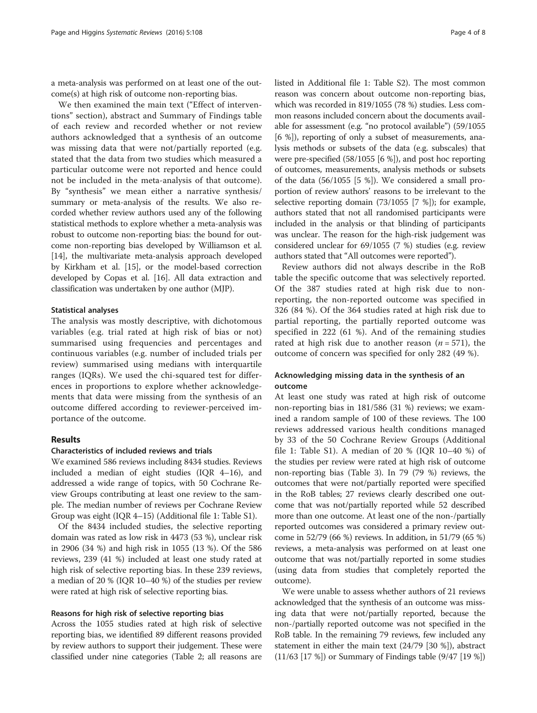a meta-analysis was performed on at least one of the outcome(s) at high risk of outcome non-reporting bias.

We then examined the main text ("Effect of interventions" section), abstract and Summary of Findings table of each review and recorded whether or not review authors acknowledged that a synthesis of an outcome was missing data that were not/partially reported (e.g. stated that the data from two studies which measured a particular outcome were not reported and hence could not be included in the meta-analysis of that outcome). By "synthesis" we mean either a narrative synthesis/ summary or meta-analysis of the results. We also recorded whether review authors used any of the following statistical methods to explore whether a meta-analysis was robust to outcome non-reporting bias: the bound for outcome non-reporting bias developed by Williamson et al. [[14](#page-6-0)], the multivariate meta-analysis approach developed by Kirkham et al. [\[15\]](#page-6-0), or the model-based correction developed by Copas et al. [[16](#page-6-0)]. All data extraction and classification was undertaken by one author (MJP).

#### Statistical analyses

The analysis was mostly descriptive, with dichotomous variables (e.g. trial rated at high risk of bias or not) summarised using frequencies and percentages and continuous variables (e.g. number of included trials per review) summarised using medians with interquartile ranges (IQRs). We used the chi-squared test for differences in proportions to explore whether acknowledgements that data were missing from the synthesis of an outcome differed according to reviewer-perceived importance of the outcome.

### Results

#### Characteristics of included reviews and trials

We examined 586 reviews including 8434 studies. Reviews included a median of eight studies (IQR 4–16), and addressed a wide range of topics, with 50 Cochrane Review Groups contributing at least one review to the sample. The median number of reviews per Cochrane Review Group was eight (IQR 4–15) (Additional file [1](#page-6-0): Table S1).

Of the 8434 included studies, the selective reporting domain was rated as low risk in 4473 (53 %), unclear risk in 2906 (34 %) and high risk in 1055 (13 %). Of the 586 reviews, 239 (41 %) included at least one study rated at high risk of selective reporting bias. In these 239 reviews, a median of 20 % (IQR 10–40 %) of the studies per review were rated at high risk of selective reporting bias.

#### Reasons for high risk of selective reporting bias

Across the 1055 studies rated at high risk of selective reporting bias, we identified 89 different reasons provided by review authors to support their judgement. These were classified under nine categories (Table [2](#page-4-0); all reasons are listed in Additional file [1:](#page-6-0) Table S2). The most common reason was concern about outcome non-reporting bias, which was recorded in 819/1055 (78 %) studies. Less common reasons included concern about the documents available for assessment (e.g. "no protocol available") (59/1055 [6 %]), reporting of only a subset of measurements, analysis methods or subsets of the data (e.g. subscales) that were pre-specified (58/1055 [6 %]), and post hoc reporting of outcomes, measurements, analysis methods or subsets of the data (56/1055 [5 %]). We considered a small proportion of review authors' reasons to be irrelevant to the selective reporting domain (73/1055 [7 %]); for example, authors stated that not all randomised participants were included in the analysis or that blinding of participants was unclear. The reason for the high-risk judgement was considered unclear for 69/1055 (7 %) studies (e.g. review authors stated that "All outcomes were reported").

Review authors did not always describe in the RoB table the specific outcome that was selectively reported. Of the 387 studies rated at high risk due to nonreporting, the non-reported outcome was specified in 326 (84 %). Of the 364 studies rated at high risk due to partial reporting, the partially reported outcome was specified in 222 (61 %). And of the remaining studies rated at high risk due to another reason ( $n = 571$ ), the outcome of concern was specified for only 282 (49 %).

## Acknowledging missing data in the synthesis of an outcome

At least one study was rated at high risk of outcome non-reporting bias in 181/586 (31 %) reviews; we examined a random sample of 100 of these reviews. The 100 reviews addressed various health conditions managed by 33 of the 50 Cochrane Review Groups (Additional file [1](#page-6-0): Table S1). A median of 20 % (IQR 10–40 %) of the studies per review were rated at high risk of outcome non-reporting bias (Table [3](#page-4-0)). In 79 (79 %) reviews, the outcomes that were not/partially reported were specified in the RoB tables; 27 reviews clearly described one outcome that was not/partially reported while 52 described more than one outcome. At least one of the non-/partially reported outcomes was considered a primary review outcome in 52/79 (66 %) reviews. In addition, in 51/79 (65 %) reviews, a meta-analysis was performed on at least one outcome that was not/partially reported in some studies (using data from studies that completely reported the outcome).

We were unable to assess whether authors of 21 reviews acknowledged that the synthesis of an outcome was missing data that were not/partially reported, because the non-/partially reported outcome was not specified in the RoB table. In the remaining 79 reviews, few included any statement in either the main text (24/79 [30 %]), abstract (11/63 [17 %]) or Summary of Findings table (9/47 [19 %])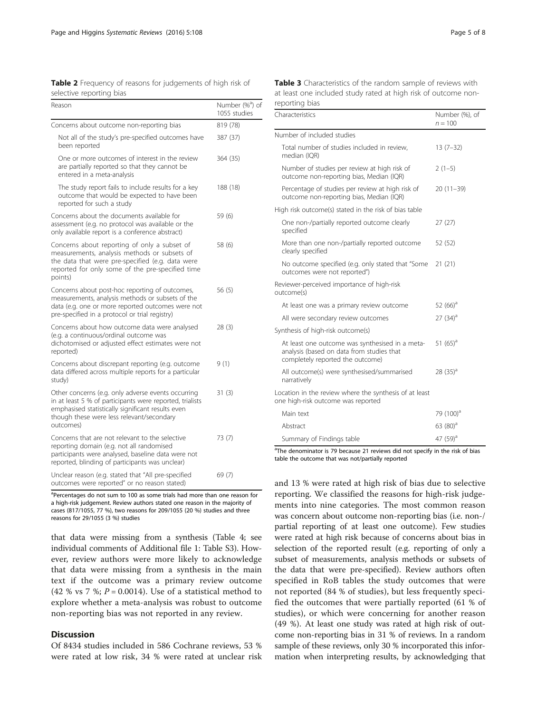<span id="page-4-0"></span>

| Table 2 Frequency of reasons for judgements of high risk of |  |  |
|-------------------------------------------------------------|--|--|
| selective reporting bias                                    |  |  |

| Reason                                                                                                                                                                                                                        | Number (% <sup>a</sup> ) of<br>1055 studies |  |
|-------------------------------------------------------------------------------------------------------------------------------------------------------------------------------------------------------------------------------|---------------------------------------------|--|
| Concerns about outcome non-reporting bias                                                                                                                                                                                     | 819 (78)                                    |  |
| Not all of the study's pre-specified outcomes have<br>been reported                                                                                                                                                           | 387 (37)                                    |  |
| One or more outcomes of interest in the review<br>are partially reported so that they cannot be<br>entered in a meta-analysis                                                                                                 | 364 (35)                                    |  |
| The study report fails to include results for a key<br>outcome that would be expected to have been<br>reported for such a study                                                                                               | 188 (18)                                    |  |
| Concerns about the documents available for<br>assessment (e.g. no protocol was available or the<br>only available report is a conference abstract)                                                                            | 59 (6)                                      |  |
| Concerns about reporting of only a subset of<br>measurements, analysis methods or subsets of<br>the data that were pre-specified (e.g. data were<br>reported for only some of the pre-specified time<br>points)               | 58 (6)                                      |  |
| Concerns about post-hoc reporting of outcomes,<br>measurements, analysis methods or subsets of the<br>data (e.g. one or more reported outcomes were not<br>pre-specified in a protocol or trial registry)                     | 56(5)                                       |  |
| Concerns about how outcome data were analysed<br>(e.g. a continuous/ordinal outcome was<br>dichotomised or adjusted effect estimates were not<br>reported)                                                                    | 28(3)                                       |  |
| Concerns about discrepant reporting (e.g. outcome<br>data differed across multiple reports for a particular<br>study)                                                                                                         | 9(1)                                        |  |
| Other concerns (e.g. only adverse events occurring<br>in at least 5 % of participants were reported, trialists<br>emphasised statistically significant results even<br>though these were less relevant/secondary<br>outcomes) | 31(3)                                       |  |
| Concerns that are not relevant to the selective<br>reporting domain (e.g. not all randomised<br>participants were analysed, baseline data were not<br>reported, blinding of participants was unclear)                         | 73 (7)                                      |  |
| Unclear reason (e.g. stated that "All pre-specified<br>outcomes were reported" or no reason stated)                                                                                                                           | 69(7)                                       |  |

<sup>a</sup>Percentages do not sum to 100 as some trials had more than one reason for a high-risk judgement. Review authors stated one reason in the majority of cases (817/1055, 77 %), two reasons for 209/1055 (20 %) studies and three reasons for 29/1055 (3 %) studies

that data were missing from a synthesis (Table [4;](#page-5-0) see individual comments of Additional file [1](#page-6-0): Table S3). However, review authors were more likely to acknowledge that data were missing from a synthesis in the main text if the outcome was a primary review outcome (42 % vs 7 %;  $P = 0.0014$ ). Use of a statistical method to explore whether a meta-analysis was robust to outcome non-reporting bias was not reported in any review.

## **Discussion**

Of 8434 studies included in 586 Cochrane reviews, 53 % were rated at low risk, 34 % were rated at unclear risk

| Table 3 Characteristics of the random sample of reviews with   |  |
|----------------------------------------------------------------|--|
| at least one included study rated at high risk of outcome non- |  |
| reporting bias                                                 |  |

| Characteristics                                                                                                                  | Number (%), of<br>$n = 100$ |
|----------------------------------------------------------------------------------------------------------------------------------|-----------------------------|
| Number of included studies                                                                                                       |                             |
| Total number of studies included in review,<br>median (IQR)                                                                      | $13(7-32)$                  |
| Number of studies per review at high risk of<br>outcome non-reporting bias, Median (IQR)                                         | $2(1-5)$                    |
| Percentage of studies per review at high risk of<br>outcome non-reporting bias, Median (IQR)                                     | $20(11-39)$                 |
| High risk outcome(s) stated in the risk of bias table                                                                            |                             |
| One non-/partially reported outcome clearly<br>specified                                                                         | 27(27)                      |
| More than one non-/partially reported outcome<br>clearly specified                                                               | 52 (52)                     |
| No outcome specified (e.g. only stated that "Some<br>outcomes were not reported")                                                | 21(21)                      |
| Reviewer-perceived importance of high-risk<br>outcome(s)                                                                         |                             |
| At least one was a primary review outcome                                                                                        | 52 $(66)^a$                 |
| All were secondary review outcomes                                                                                               | $27(34)^a$                  |
| Synthesis of high-risk outcome(s)                                                                                                |                             |
| At least one outcome was synthesised in a meta-<br>analysis (based on data from studies that<br>completely reported the outcome) | 51 $(65)^a$                 |
| All outcome(s) were synthesised/summarised<br>narratively                                                                        | 28 $(35)^a$                 |
| Location in the review where the synthesis of at least<br>one high-risk outcome was reported                                     |                             |
| Main text                                                                                                                        | 79 (100) <sup>a</sup>       |
| Abstract                                                                                                                         | 63 $(80)^a$                 |
| Summary of Findings table                                                                                                        | 47 (59) <sup>a</sup>        |

<sup>a</sup>The denominator is 79 because 21 reviews did not specify in the risk of bias table the outcome that was not/partially reported

and 13 % were rated at high risk of bias due to selective reporting. We classified the reasons for high-risk judgements into nine categories. The most common reason was concern about outcome non-reporting bias (i.e. non-/ partial reporting of at least one outcome). Few studies were rated at high risk because of concerns about bias in selection of the reported result (e.g. reporting of only a subset of measurements, analysis methods or subsets of the data that were pre-specified). Review authors often specified in RoB tables the study outcomes that were not reported (84 % of studies), but less frequently specified the outcomes that were partially reported (61 % of studies), or which were concerning for another reason (49 %). At least one study was rated at high risk of outcome non-reporting bias in 31 % of reviews. In a random sample of these reviews, only 30 % incorporated this information when interpreting results, by acknowledging that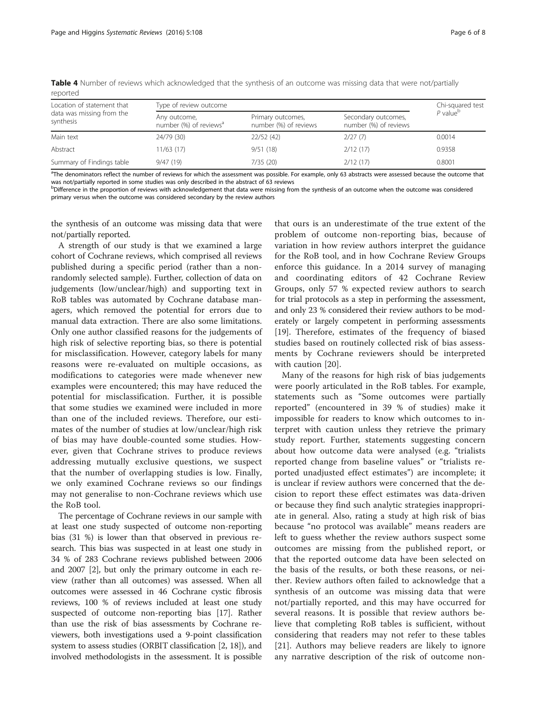| Location of statement that<br>data was missing from the<br>synthesis | Type of review outcome                             | Chi-squared test                           |                                              |                        |
|----------------------------------------------------------------------|----------------------------------------------------|--------------------------------------------|----------------------------------------------|------------------------|
|                                                                      | Any outcome,<br>number (%) of reviews <sup>a</sup> | Primary outcomes,<br>number (%) of reviews | Secondary outcomes,<br>number (%) of reviews | $P$ value <sup>b</sup> |
| Main text                                                            | 24/79 (30)                                         | 22/52(42)                                  | 2/27(7)                                      | 0.0014                 |
| Abstract                                                             | 11/63 (17)                                         | 9/51(18)                                   | 2/12(17)                                     | 0.9358                 |
| Summary of Findings table                                            | 9/47(19)                                           | 7/35(20)                                   | 2/12(17)                                     | 0.8001                 |

<span id="page-5-0"></span>Table 4 Number of reviews which acknowledged that the synthesis of an outcome was missing data that were not/partially reported

<sup>a</sup>The denominators reflect the number of reviews for which the assessment was possible. For example, only 63 abstracts were assessed because the outcome that was not/partially reported in some studies was only described in the abstract of 63 reviews

**bDifference in the proportion of reviews with acknowledgement that data were missing from the synthesis of an outcome when the outcome was considered** primary versus when the outcome was considered secondary by the review authors

the synthesis of an outcome was missing data that were not/partially reported.

A strength of our study is that we examined a large cohort of Cochrane reviews, which comprised all reviews published during a specific period (rather than a nonrandomly selected sample). Further, collection of data on judgements (low/unclear/high) and supporting text in RoB tables was automated by Cochrane database managers, which removed the potential for errors due to manual data extraction. There are also some limitations. Only one author classified reasons for the judgements of high risk of selective reporting bias, so there is potential for misclassification. However, category labels for many reasons were re-evaluated on multiple occasions, as modifications to categories were made whenever new examples were encountered; this may have reduced the potential for misclassification. Further, it is possible that some studies we examined were included in more than one of the included reviews. Therefore, our estimates of the number of studies at low/unclear/high risk of bias may have double-counted some studies. However, given that Cochrane strives to produce reviews addressing mutually exclusive questions, we suspect that the number of overlapping studies is low. Finally, we only examined Cochrane reviews so our findings may not generalise to non-Cochrane reviews which use the RoB tool.

The percentage of Cochrane reviews in our sample with at least one study suspected of outcome non-reporting bias (31 %) is lower than that observed in previous research. This bias was suspected in at least one study in 34 % of 283 Cochrane reviews published between 2006 and 2007 [[2\]](#page-6-0), but only the primary outcome in each review (rather than all outcomes) was assessed. When all outcomes were assessed in 46 Cochrane cystic fibrosis reviews, 100 % of reviews included at least one study suspected of outcome non-reporting bias [\[17\]](#page-6-0). Rather than use the risk of bias assessments by Cochrane reviewers, both investigations used a 9-point classification system to assess studies (ORBIT classification [\[2](#page-6-0), [18\]](#page-7-0)), and involved methodologists in the assessment. It is possible

that ours is an underestimate of the true extent of the problem of outcome non-reporting bias, because of variation in how review authors interpret the guidance for the RoB tool, and in how Cochrane Review Groups enforce this guidance. In a 2014 survey of managing and coordinating editors of 42 Cochrane Review Groups, only 57 % expected review authors to search for trial protocols as a step in performing the assessment, and only 23 % considered their review authors to be moderately or largely competent in performing assessments [[19](#page-7-0)]. Therefore, estimates of the frequency of biased studies based on routinely collected risk of bias assessments by Cochrane reviewers should be interpreted with caution [\[20](#page-7-0)].

Many of the reasons for high risk of bias judgements were poorly articulated in the RoB tables. For example, statements such as "Some outcomes were partially reported" (encountered in 39 % of studies) make it impossible for readers to know which outcomes to interpret with caution unless they retrieve the primary study report. Further, statements suggesting concern about how outcome data were analysed (e.g. "trialists reported change from baseline values" or "trialists reported unadjusted effect estimates") are incomplete; it is unclear if review authors were concerned that the decision to report these effect estimates was data-driven or because they find such analytic strategies inappropriate in general. Also, rating a study at high risk of bias because "no protocol was available" means readers are left to guess whether the review authors suspect some outcomes are missing from the published report, or that the reported outcome data have been selected on the basis of the results, or both these reasons, or neither. Review authors often failed to acknowledge that a synthesis of an outcome was missing data that were not/partially reported, and this may have occurred for several reasons. It is possible that review authors believe that completing RoB tables is sufficient, without considering that readers may not refer to these tables [[21\]](#page-7-0). Authors may believe readers are likely to ignore any narrative description of the risk of outcome non-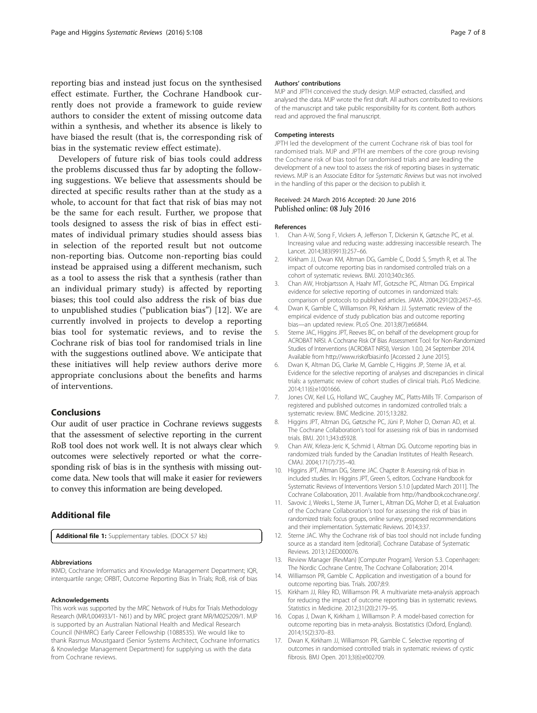<span id="page-6-0"></span>reporting bias and instead just focus on the synthesised effect estimate. Further, the Cochrane Handbook currently does not provide a framework to guide review authors to consider the extent of missing outcome data within a synthesis, and whether its absence is likely to have biased the result (that is, the corresponding risk of bias in the systematic review effect estimate).

Developers of future risk of bias tools could address the problems discussed thus far by adopting the following suggestions. We believe that assessments should be directed at specific results rather than at the study as a whole, to account for that fact that risk of bias may not be the same for each result. Further, we propose that tools designed to assess the risk of bias in effect estimates of individual primary studies should assess bias in selection of the reported result but not outcome non-reporting bias. Outcome non-reporting bias could instead be appraised using a different mechanism, such as a tool to assess the risk that a synthesis (rather than an individual primary study) is affected by reporting biases; this tool could also address the risk of bias due to unpublished studies ("publication bias") [12]. We are currently involved in projects to develop a reporting bias tool for systematic reviews, and to revise the Cochrane risk of bias tool for randomised trials in line with the suggestions outlined above. We anticipate that these initiatives will help review authors derive more appropriate conclusions about the benefits and harms of interventions.

#### Conclusions

Our audit of user practice in Cochrane reviews suggests that the assessment of selective reporting in the current RoB tool does not work well. It is not always clear which outcomes were selectively reported or what the corresponding risk of bias is in the synthesis with missing outcome data. New tools that will make it easier for reviewers to convey this information are being developed.

#### Additional file

[Additional file 1:](dx.doi.org/10.1186/s13643-016-0289-2) Supplementary tables. (DOCX 57 kb)

#### Abbreviations

IKMD, Cochrane Informatics and Knowledge Management Department; IQR, interquartile range; ORBIT, Outcome Reporting Bias In Trials; RoB, risk of bias

#### Acknowledgements

This work was supported by the MRC Network of Hubs for Trials Methodology Research (MR/L004933/1- N61) and by MRC project grant MR/M025209/1. MJP is supported by an Australian National Health and Medical Research Council (NHMRC) Early Career Fellowship (1088535). We would like to thank Rasmus Moustgaard (Senior Systems Architect, Cochrane Informatics & Knowledge Management Department) for supplying us with the data from Cochrane reviews.

#### Authors' contributions

MJP and JPTH conceived the study design. MJP extracted, classified, and analysed the data. MJP wrote the first draft. All authors contributed to revisions of the manuscript and take public responsibility for its content. Both authors read and approved the final manuscript.

#### Competing interests

JPTH led the development of the current Cochrane risk of bias tool for randomised trials. MJP and JPTH are members of the core group revising the Cochrane risk of bias tool for randomised trials and are leading the development of a new tool to assess the risk of reporting biases in systematic reviews. MJP is an Associate Editor for Systematic Reviews but was not involved in the handling of this paper or the decision to publish it.

#### Received: 24 March 2016 Accepted: 20 June 2016 Published online: 08 July 2016

#### References

- 1. Chan A-W, Song F, Vickers A, Jefferson T, Dickersin K, Gøtzsche PC, et al. Increasing value and reducing waste: addressing inaccessible research. The Lancet. 2014;383(9913):257–66.
- 2. Kirkham JJ, Dwan KM, Altman DG, Gamble C, Dodd S, Smyth R, et al. The impact of outcome reporting bias in randomised controlled trials on a cohort of systematic reviews. BMJ. 2010;340:c365.
- 3. Chan AW, Hrobjartsson A, Haahr MT, Gotzsche PC, Altman DG. Empirical evidence for selective reporting of outcomes in randomized trials: comparison of protocols to published articles. JAMA. 2004;291(20):2457–65.
- Dwan K, Gamble C, Williamson PR, Kirkham JJ. Systematic review of the empirical evidence of study publication bias and outcome reporting bias—an updated review. PLoS One. 2013;8(7):e66844.
- 5. Sterne JAC, Higgins JPT, Reeves BC, on behalf of the development group for ACROBAT NRSI. A Cochrane Risk Of Bias Assessment Tool: for Non-Randomized Studies of Interventions (ACROBAT NRSI), Version 1.0.0, 24 September 2014. Available from [http://www.riskofbias.info](http://www.riskofbias.info/) [Accessed 2 June 2015].
- 6. Dwan K, Altman DG, Clarke M, Gamble C, Higgins JP, Sterne JA, et al. Evidence for the selective reporting of analyses and discrepancies in clinical trials: a systematic review of cohort studies of clinical trials. PLoS Medicine. 2014;11(6):e1001666.
- 7. Jones CW, Keil LG, Holland WC, Caughey MC, Platts-Mills TF. Comparison of registered and published outcomes in randomized controlled trials: a systematic review. BMC Medicine. 2015;13:282.
- 8. Higgins JPT, Altman DG, Gøtzsche PC, Jüni P, Moher D, Oxman AD, et al. The Cochrane Collaboration's tool for assessing risk of bias in randomised trials. BMJ. 2011;343:d5928.
- 9. Chan AW, Krleza-Jeric K, Schmid I, Altman DG. Outcome reporting bias in randomized trials funded by the Canadian Institutes of Health Research. CMAJ. 2004;171(7):735–40.
- 10. Higgins JPT, Altman DG, Sterne JAC. Chapter 8: Assessing risk of bias in included studies. In: Higgins JPT, Green S, editors. Cochrane Handbook for Systematic Reviews of Interventions Version 5.1.0 [updated March 2011]. The Cochrane Collaboration, 2011. Available from<http://handbook.cochrane.org/>.
- 11. Savovic J, Weeks L, Sterne JA, Turner L, Altman DG, Moher D, et al. Evaluation of the Cochrane Collaboration's tool for assessing the risk of bias in randomized trials: focus groups, online survey, proposed recommendations and their implementation. Systematic Reviews. 2014;3:37.
- 12. Sterne JAC. Why the Cochrane risk of bias tool should not include funding source as a standard item [editorial]. Cochrane Database of Systematic Reviews. 2013;12:ED000076.
- 13. Review Manager (RevMan) [Computer Program]. Version 5.3. Copenhagen: The Nordic Cochrane Centre, The Cochrane Collaboration; 2014.
- 14. Williamson PR, Gamble C. Application and investigation of a bound for outcome reporting bias. Trials. 2007;8:9.
- 15. Kirkham JJ, Riley RD, Williamson PR. A multivariate meta-analysis approach for reducing the impact of outcome reporting bias in systematic reviews. Statistics in Medicine. 2012;31(20):2179–95.
- 16. Copas J, Dwan K, Kirkham J, Williamson P. A model-based correction for outcome reporting bias in meta-analysis. Biostatistics (Oxford, England). 2014;15(2):370–83.
- 17. Dwan K, Kirkham JJ, Williamson PR, Gamble C. Selective reporting of outcomes in randomised controlled trials in systematic reviews of cystic fibrosis. BMJ Open. 2013;3(6):e002709.